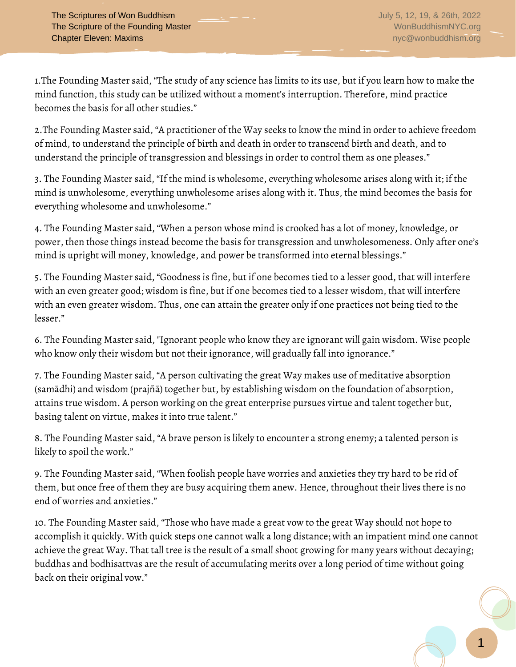1.The Founding Master said, "The study of any science has limits to its use, but if you learn how to make the mind function, this study can be utilized without a moment's interruption. Therefore, mind practice becomes the basis for all other studies."

2.The Founding Master said, "A practitioner of the Way seeks to know the mind in order to achieve freedom of mind, to understand the principle of birth and death in order to transcend birth and death, and to understand the principle of transgression and blessings in order to control them as one pleases."

3. The Founding Master said, "If the mind is wholesome, everything wholesome arises along with it; if the mind is unwholesome, everything unwholesome arises along with it. Thus, the mind becomes the basis for everything wholesome and unwholesome."

4. The Founding Master said, "When a person whose mind is crooked has a lot of money, knowledge, or power, then those things instead become the basis for transgression and unwholesomeness. Only after one's mind is upright will money, knowledge, and power be transformed into eternal blessings."

5. The Founding Master said, "Goodness is fine, but if one becomes tied to a lesser good, that will interfere with an even greater good; wisdom is fine, but if one becomes tied to a lesser wisdom, that will interfere with an even greater wisdom. Thus, one can attain the greater only if one practices not being tied to the lesser."

6. The Founding Master said, "Ignorant people who know they are ignorant will gain wisdom. Wise people who know only their wisdom but not their ignorance, will gradually fall into ignorance."

7. The Founding Master said, "A person cultivating the great Way makes use of meditative absorption (samādhi) and wisdom (prajñā) together but, by establishing wisdom on the foundation of absorption, attains true wisdom. A person working on the great enterprise pursues virtue and talent together but, basing talent on virtue, makes it into true talent."

8. The Founding Master said, "A brave person is likely to encounter a strong enemy; a talented person is likely to spoil the work."

9. The Founding Master said, "When foolish people have worries and anxieties they try hard to be rid of them, but once free of them they are busy acquiring them anew. Hence, throughout their lives there is no end of worries and anxieties."

10. The Founding Master said, "Those who have made a great vow to the great Way should not hope to accomplish it quickly. With quick steps one cannot walk a long distance; with an impatient mind one cannot achieve the great Way. That tall tree is the result of a small shoot growing for many years without decaying; buddhas and bodhisattvas are the result of accumulating merits over a long period of time without going back on their original vow."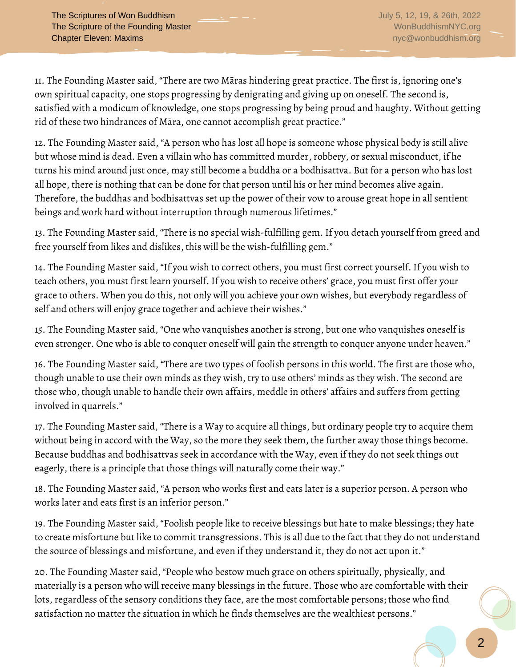11. The Founding Master said, "There are two Māras hindering great practice. The first is, ignoring one's own spiritual capacity, one stops progressing by denigrating and giving up on oneself. The second is, satisfied with a modicum of knowledge, one stops progressing by being proud and haughty. Without getting rid of these two hindrances of Māra, one cannot accomplish great practice."

12. The Founding Master said, "A person who has lost all hope is someone whose physical body is still alive but whose mind is dead. Even a villain who has committed murder, robbery, or sexual misconduct, if he turns his mind around just once, may still become a buddha or a bodhisattva. But for a person who has lost all hope, there is nothing that can be done for that person until his or her mind becomes alive again. Therefore, the buddhas and bodhisattvas set up the power of their vow to arouse great hope in all sentient beings and work hard without interruption through numerous lifetimes."

13. The Founding Master said, "There is no special wish-fulfilling gem. If you detach yourself from greed and free yourself from likes and dislikes, this will be the wish-fulfilling gem."

14. The Founding Master said, "If you wish to correct others, you must first correct yourself. If you wish to teach others, you must first learn yourself. If you wish to receive others' grace, you must first offer your grace to others. When you do this, not only will you achieve your own wishes, but everybody regardless of self and others will enjoy grace together and achieve their wishes."

15. The Founding Master said, "One who vanquishes another is strong, but one who vanquishes oneself is even stronger. One who is able to conquer oneself will gain the strength to conquer anyone under heaven."

16. The Founding Master said, "There are two types of foolish persons in this world. The first are those who, though unable to use their own minds as they wish, try to use others' minds as they wish. The second are those who, though unable to handle their own affairs, meddle in others' affairs and suffers from getting involved in quarrels."

17. The Founding Master said, "There is a Way to acquire all things, but ordinary people try to acquire them without being in accord with the Way, so the more they seek them, the further away those things become. Because buddhas and bodhisattvas seek in accordance with the Way, even if they do not seek things out eagerly, there is a principle that those things will naturally come their way."

18. The Founding Master said, "A person who works first and eats later is a superior person. A person who works later and eats first is an inferior person."

19. The Founding Master said, "Foolish people like to receive blessings but hate to make blessings; they hate to create misfortune but like to commit transgressions. This is all due to the fact that they do not understand the source of blessings and misfortune, and even if they understand it, they do not act upon it."

20. The Founding Master said, "People who bestow much grace on others spiritually, physically, and materially is a person who will receive many blessings in the future. Those who are comfortable with their lots, regardless of the sensory conditions they face, are the most comfortable persons; those who find satisfaction no matter the situation in which he finds themselves are the wealthiest persons."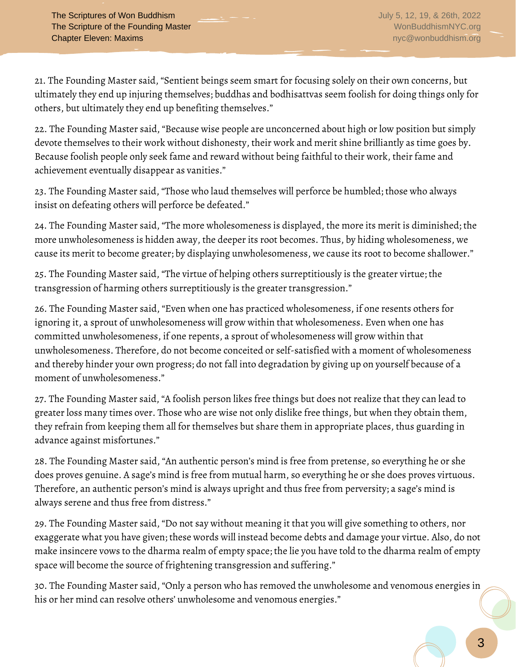21. The Founding Master said, "Sentient beings seem smart for focusing solely on their own concerns, but ultimately they end up injuring themselves; buddhas and bodhisattvas seem foolish for doing things only for others, but ultimately they end up benefiting themselves."

22. The Founding Master said, "Because wise people are unconcerned about high or low position but simply devote themselves to their work without dishonesty, their work and merit shine brilliantly as time goes by. Because foolish people only seek fame and reward without being faithful to their work, their fame and achievement eventually disappear as vanities."

23. The Founding Master said, "Those who laud themselves will perforce be humbled; those who always insist on defeating others will perforce be defeated."

24. The Founding Master said, "The more wholesomeness is displayed, the more its merit is diminished; the more unwholesomeness is hidden away, the deeper its root becomes. Thus, by hiding wholesomeness, we cause its merit to become greater; by displaying unwholesomeness, we cause its root to become shallower."

25. The Founding Master said, "The virtue of helping others surreptitiously is the greater virtue; the transgression of harming others surreptitiously is the greater transgression."

26. The Founding Master said, "Even when one has practiced wholesomeness, if one resents others for ignoring it, a sprout of unwholesomeness will grow within that wholesomeness. Even when one has committed unwholesomeness, if one repents, a sprout of wholesomeness will grow within that unwholesomeness. Therefore, do not become conceited or self-satisfied with a moment of wholesomeness and thereby hinder your own progress; do not fall into degradation by giving up on yourself because of a moment of unwholesomeness."

27. The Founding Master said, "A foolish person likes free things but does not realize that they can lead to greater loss many times over. Those who are wise not only dislike free things, but when they obtain them, they refrain from keeping them all for themselves but share them in appropriate places, thus guarding in advance against misfortunes."

28. The Founding Master said, "An authentic person's mind is free from pretense, so everything he or she does proves genuine. A sage's mind is free from mutual harm, so everything he or she does proves virtuous. Therefore, an authentic person's mind is always upright and thus free from perversity; a sage's mind is always serene and thus free from distress."

29. The Founding Master said, "Do not say without meaning it that you will give something to others, nor exaggerate what you have given; these words will instead become debts and damage your virtue. Also, do not make insincere vows to the dharma realm of empty space; the lie you have told to the dharma realm of empty space will become the source of frightening transgression and suffering."

30. The Founding Master said, "Only a person who has removed the unwholesome and venomous energies in his or her mind can resolve others' unwholesome and venomous energies."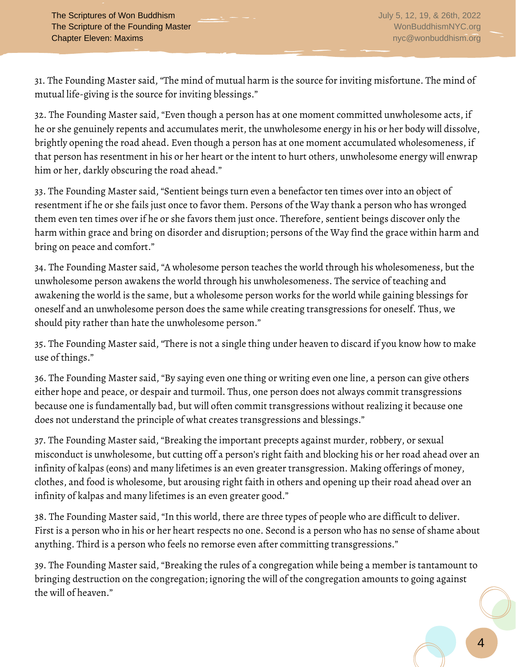31. The Founding Master said, "The mind of mutual harm is the source for inviting misfortune. The mind of mutual life-giving is the source for inviting blessings."

32. The Founding Master said, "Even though a person has at one moment committed unwholesome acts, if he or she genuinely repents and accumulates merit, the unwholesome energy in his or her body will dissolve, brightly opening the road ahead. Even though a person has at one moment accumulated wholesomeness, if that person has resentment in his or her heart or the intent to hurt others, unwholesome energy will enwrap him or her, darkly obscuring the road ahead."

33. The Founding Master said, "Sentient beings turn even a benefactor ten times over into an object of resentment if he or she fails just once to favor them. Persons of the Way thank a person who has wronged them even ten times over if he or she favors them just once. Therefore, sentient beings discover only the harm within grace and bring on disorder and disruption; persons of the Way find the grace within harm and bring on peace and comfort."

34. The Founding Master said, "A wholesome person teaches the world through his wholesomeness, but the unwholesome person awakens the world through his unwholesomeness. The service of teaching and awakening the world is the same, but a wholesome person works for the world while gaining blessings for oneself and an unwholesome person does the same while creating transgressions for oneself. Thus, we should pity rather than hate the unwholesome person."

35. The Founding Master said, "There is not a single thing under heaven to discard if you know how to make use of things."

36. The Founding Master said, "By saying even one thing or writing even one line, a person can give others either hope and peace, or despair and turmoil. Thus, one person does not always commit transgressions because one is fundamentally bad, but will often commit transgressions without realizing it because one does not understand the principle of what creates transgressions and blessings."

37. The Founding Master said, "Breaking the important precepts against murder, robbery, or sexual misconduct is unwholesome, but cutting off a person's right faith and blocking his or her road ahead over an infinity of kalpas (eons) and many lifetimes is an even greater transgression. Making offerings of money, clothes, and food is wholesome, but arousing right faith in others and opening up their road ahead over an infinity of kalpas and many lifetimes is an even greater good."

38. The Founding Master said, "In this world, there are three types of people who are difficult to deliver. First is a person who in his or her heart respects no one. Second is a person who has no sense of shame about anything. Third is a person who feels no remorse even after committing transgressions."

39. The Founding Master said, "Breaking the rules of a congregation while being a member is tantamount to bringing destruction on the congregation; ignoring the will of the congregation amounts to going against the will of heaven."